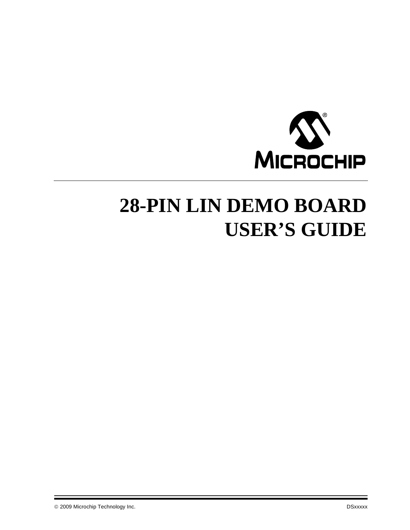

# **28-PIN LIN DEMO BOARD USER'S GUIDE**

© 2009 Microchip Technology Inc. DSxxxxx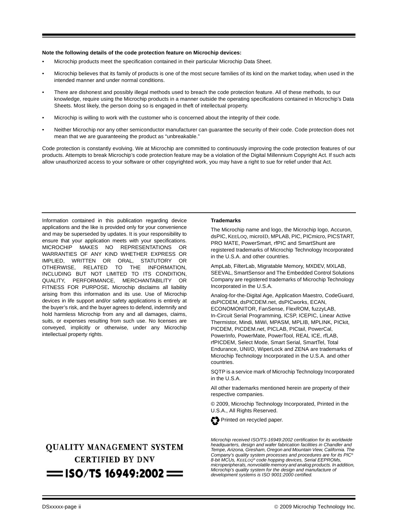#### **Note the following details of the code protection feature on Microchip devices:**

- Microchip products meet the specification contained in their particular Microchip Data Sheet.
- Microchip believes that its family of products is one of the most secure families of its kind on the market today, when used in the intended manner and under normal conditions.
- There are dishonest and possibly illegal methods used to breach the code protection feature. All of these methods, to our knowledge, require using the Microchip products in a manner outside the operating specifications contained in Microchip's Data Sheets. Most likely, the person doing so is engaged in theft of intellectual property.
- Microchip is willing to work with the customer who is concerned about the integrity of their code.
- Neither Microchip nor any other semiconductor manufacturer can guarantee the security of their code. Code protection does not mean that we are guaranteeing the product as "unbreakable."

Code protection is constantly evolving. We at Microchip are committed to continuously improving the code protection features of our products. Attempts to break Microchip's code protection feature may be a violation of the Digital Millennium Copyright Act. If such acts allow unauthorized access to your software or other copyrighted work, you may have a right to sue for relief under that Act.

Information contained in this publication regarding device applications and the like is provided only for your convenience and may be superseded by updates. It is your responsibility to ensure that your application meets with your specifications. MICROCHIP MAKES NO REPRESENTATIONS OR WARRANTIES OF ANY KIND WHETHER EXPRESS OR IMPLIED, WRITTEN OR ORAL, STATUTORY OR OTHERWISE, RELATED TO THE INFORMATION, INCLUDING BUT NOT LIMITED TO ITS CONDITION, QUALITY, PERFORMANCE, MERCHANTABILITY OR FITNESS FOR PURPOSE**.** Microchip disclaims all liability arising from this information and its use. Use of Microchip devices in life support and/or safety applications is entirely at the buyer's risk, and the buyer agrees to defend, indemnify and hold harmless Microchip from any and all damages, claims, suits, or expenses resulting from such use. No licenses are conveyed, implicitly or otherwise, under any Microchip intellectual property rights.

# **QUALITY MANAGEMENT SYSTEM CERTIFIED BY DNV**  $=$  ISO/TS 16949:2002  $=$

#### **Trademarks**

The Microchip name and logo, the Microchip logo, Accuron, dsPIC, KEELOQ, microID, MPLAB, PIC, PICmicro, PICSTART, PRO MATE, PowerSmart, rfPIC and SmartShunt are registered trademarks of Microchip Technology Incorporated in the U.S.A. and other countries.

AmpLab, FilterLab, Migratable Memory, MXDEV, MXLAB, SEEVAL, SmartSensor and The Embedded Control Solutions Company are registered trademarks of Microchip Technology Incorporated in the U.S.A.

Analog-for-the-Digital Age, Application Maestro, CodeGuard, dsPICDEM, dsPICDEM.net, dsPICworks, ECAN, ECONOMONITOR, FanSense, FlexROM, fuzzyLAB, In-Circuit Serial Programming, ICSP, ICEPIC, Linear Active Thermistor, Mindi, MiWi, MPASM, MPLIB, MPLINK, PICkit, PICDEM, PICDEM.net, PICLAB, PICtail, PowerCal, PowerInfo, PowerMate, PowerTool, REAL ICE, rfLAB, rfPICDEM, Select Mode, Smart Serial, SmartTel, Total Endurance, UNI/O, WiperLock and ZENA are trademarks of Microchip Technology Incorporated in the U.S.A. and other countries.

SQTP is a service mark of Microchip Technology Incorporated in the U.S.A.

All other trademarks mentioned herein are property of their respective companies.

© 2009, Microchip Technology Incorporated, Printed in the U.S.A., All Rights Reserved.

Printed on recycled paper.

*Microchip received ISO/TS-16949:2002 certification for its worldwide headquarters, design and wafer fabrication facilities in Chandler and Tempe, Arizona, Gresham, Oregon and Mountain View, California. The Company's quality system processes and procedures are for its PIC® 8-bit MCUs, KEELOQ® code hopping devices, Serial EEPROMs, microperipherals, nonvolatile memory and analog products. In addition, Microchip's quality system for the design and manufacture of development systems is ISO 9001:2000 certified.*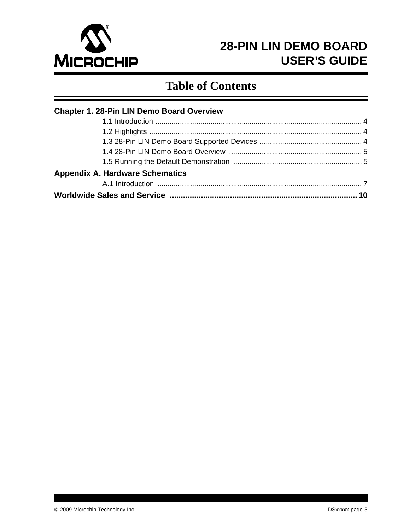

# **Table of Contents**

| <b>Chapter 1. 28-Pin LIN Demo Board Overview</b> |  |
|--------------------------------------------------|--|
|                                                  |  |
|                                                  |  |
|                                                  |  |
|                                                  |  |
|                                                  |  |
| <b>Appendix A. Hardware Schematics</b>           |  |
|                                                  |  |
|                                                  |  |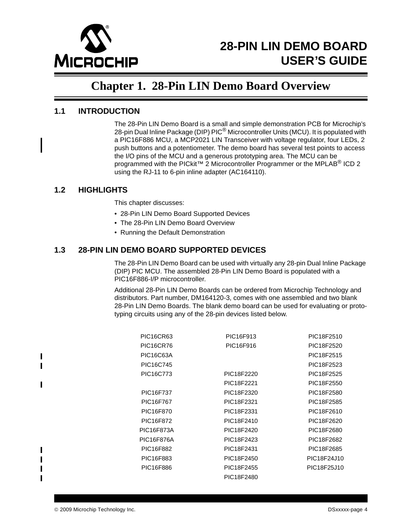

# **Chapter 1. 28-Pin LIN Demo Board Overview**

### <span id="page-3-1"></span><span id="page-3-0"></span>**1.1 INTRODUCTION**

The 28-Pin LIN Demo Board is a small and simple demonstration PCB for Microchip's 28-pin Dual Inline Package (DIP)  $PIC^{\circledR}$  Microcontroller Units (MCU). It is populated with a PIC16F886 MCU, a MCP2021 LIN Transceiver with voltage regulator, four LEDs, 2 push buttons and a potentiometer. The demo board has several test points to access the I/O pins of the MCU and a generous prototyping area. The MCU can be programmed with the PICkit™ 2 Microcontroller Programmer or the MPLAB<sup>®</sup> ICD 2 using the RJ-11 to 6-pin inline adapter (AC164110).

### <span id="page-3-2"></span>**1.2 HIGHLIGHTS**

This chapter discusses:

- 28-Pin LIN Demo Board Supported Devices
- The 28-Pin LIN Demo Board Overview
- Running the Default Demonstration

### <span id="page-3-3"></span>**1.3 28-PIN LIN DEMO BOARD SUPPORTED DEVICES**

The 28-Pin LIN Demo Board can be used with virtually any 28-pin Dual Inline Package (DIP) PIC MCU. The assembled 28-Pin LIN Demo Board is populated with a PIC16F886-I/P microcontroller.

Additional 28-Pin LIN Demo Boards can be ordered from Microchip Technology and distributors. Part number, DM164120-3, comes with one assembled and two blank 28-Pin LIN Demo Boards. The blank demo board can be used for evaluating or prototyping circuits using any of the 28-pin devices listed below.

| PIC16F916<br>PIC <sub>16</sub> CR <sub>76</sub><br>PIC18F2520<br><b>PIC16C63A</b><br>PIC18F2515<br>PIC16C745<br>PIC18F2523<br>PIC16C773<br>PIC18F2220<br>PIC18F2525<br>PIC18F2221<br>PIC18F2550<br>PIC16F737<br>PIC18F2320<br>PIC18F2580<br>PIC16F767<br>PIC18F2321<br>PIC18F2585<br>PIC16F870<br>PIC18F2331<br>PIC18F2610<br>PIC16F872<br>PIC18F2620<br>PIC18F2410<br>PIC16F873A<br>PIC18F2420<br>PIC18F2680<br>PIC16F876A<br>PIC18F2423<br>PIC18F2682<br>PIC16F882<br>PIC18F2431<br>PIC18F2685<br>PIC16F883<br>PIC18F2450<br>PIC18F24J10<br>PIC16F886<br>PIC18F25J10<br>PIC18F2455<br>PIC18F2480 | <b>PIC16CR63</b> | PIC16F913 | PIC18F2510 |
|----------------------------------------------------------------------------------------------------------------------------------------------------------------------------------------------------------------------------------------------------------------------------------------------------------------------------------------------------------------------------------------------------------------------------------------------------------------------------------------------------------------------------------------------------------------------------------------------------|------------------|-----------|------------|
|                                                                                                                                                                                                                                                                                                                                                                                                                                                                                                                                                                                                    |                  |           |            |
|                                                                                                                                                                                                                                                                                                                                                                                                                                                                                                                                                                                                    |                  |           |            |
|                                                                                                                                                                                                                                                                                                                                                                                                                                                                                                                                                                                                    |                  |           |            |
|                                                                                                                                                                                                                                                                                                                                                                                                                                                                                                                                                                                                    |                  |           |            |
|                                                                                                                                                                                                                                                                                                                                                                                                                                                                                                                                                                                                    |                  |           |            |
|                                                                                                                                                                                                                                                                                                                                                                                                                                                                                                                                                                                                    |                  |           |            |
|                                                                                                                                                                                                                                                                                                                                                                                                                                                                                                                                                                                                    |                  |           |            |
|                                                                                                                                                                                                                                                                                                                                                                                                                                                                                                                                                                                                    |                  |           |            |
|                                                                                                                                                                                                                                                                                                                                                                                                                                                                                                                                                                                                    |                  |           |            |
|                                                                                                                                                                                                                                                                                                                                                                                                                                                                                                                                                                                                    |                  |           |            |
|                                                                                                                                                                                                                                                                                                                                                                                                                                                                                                                                                                                                    |                  |           |            |
|                                                                                                                                                                                                                                                                                                                                                                                                                                                                                                                                                                                                    |                  |           |            |
|                                                                                                                                                                                                                                                                                                                                                                                                                                                                                                                                                                                                    |                  |           |            |
|                                                                                                                                                                                                                                                                                                                                                                                                                                                                                                                                                                                                    |                  |           |            |
|                                                                                                                                                                                                                                                                                                                                                                                                                                                                                                                                                                                                    |                  |           |            |

 $\mathbf I$ 

Ι  $\blacksquare$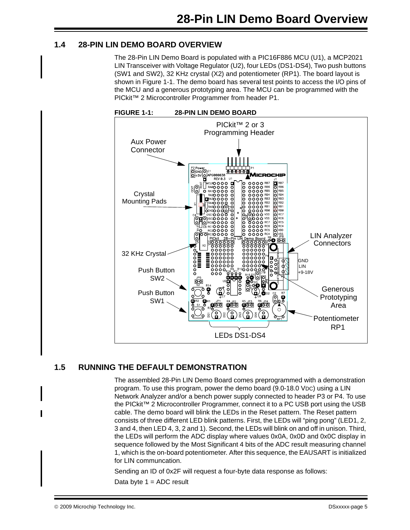### <span id="page-4-0"></span>**1.4 28-PIN LIN DEMO BOARD OVERVIEW**

The 28-Pin LIN Demo Board is populated with a PIC16F886 MCU (U1), a MCP2021 LIN Transceiver with Voltage Regulator (U2), four LEDs (DS1-DS4), Two push buttons (SW1 and SW2), 32 KHz crystal (X2) and potentiometer (RP1). The board layout is shown in [Figure 1-1](#page-4-2). The demo board has several test points to access the I/O pins of the MCU and a generous prototyping area. The MCU can be programmed with the PICkit™ 2 Microcontroller Programmer from header P1.

<span id="page-4-2"></span>

### <span id="page-4-1"></span>**1.5 RUNNING THE DEFAULT DEMONSTRATION**

The assembled 28-Pin LIN Demo Board comes preprogrammed with a demonstration program. To use this program, power the demo board (9.0-18.0 VDC) using a LIN Network Analyzer and/or a bench power supply connected to header P3 or P4. To use the PICkit™ 2 Microcontroller Programmer, connect it to a PC USB port using the USB cable. The demo board will blink the LEDs in the Reset pattern. The Reset pattern consists of three different LED blink patterns. First, the LEDs will "ping pong" (LED1, 2, 3 and 4, then LED 4, 3, 2 and 1). Second, the LEDs will blink on and off in unison. Third, the LEDs will perform the ADC display where values 0x0A, 0x0D and 0x0C display in sequence followed by the Most Significant 4 bits of the ADC result measuring channel 1, which is the on-board potentiometer. After this sequence, the EAUSART is initialized for LIN communcation.

Sending an ID of 0x2F will request a four-byte data response as follows:

Data byte  $1 = ADC$  result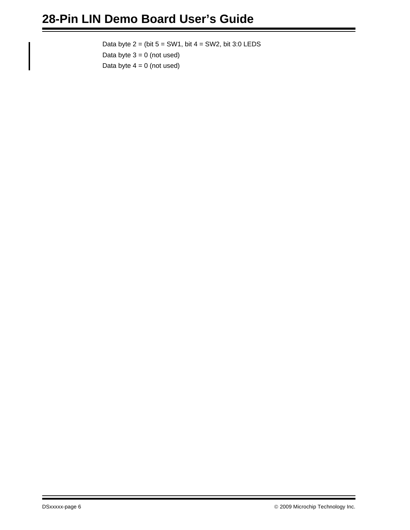Data byte  $2 = (bit 5 = SW1, bit 4 = SW2, bit 3:0 LEDS)$ Data byte  $3 = 0$  (not used) Data byte  $4 = 0$  (not used)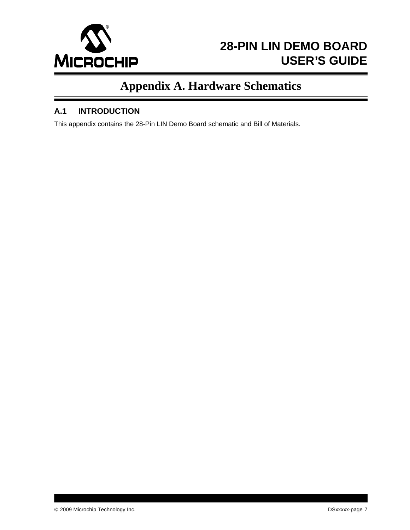

# **Appendix A. Hardware Schematics**

### <span id="page-6-0"></span>**A.1 INTRODUCTION**

This appendix contains the 28-Pin LIN Demo Board schematic and Bill of Materials.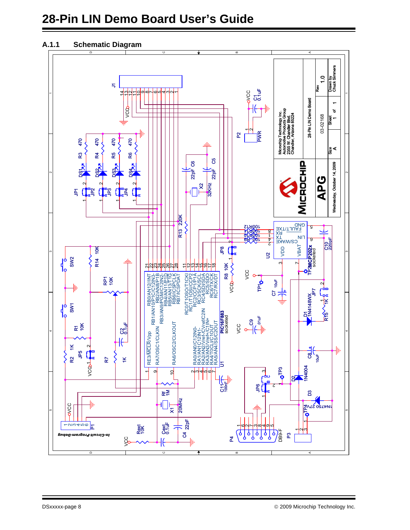# **28-Pin LIN Demo Board User's Guide**

### **A.1.1 Schematic Diagram**

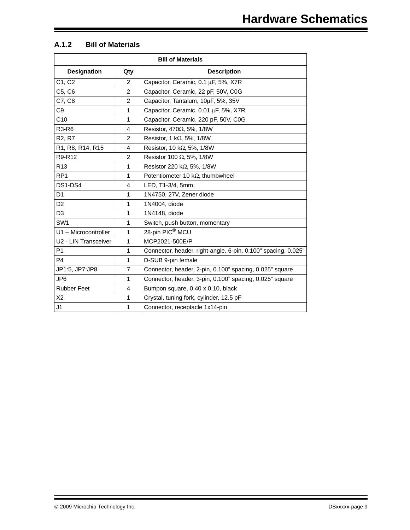### **A.1.2 Bill of Materials**

| <b>Bill of Materials</b>        |                |                                                               |  |  |
|---------------------------------|----------------|---------------------------------------------------------------|--|--|
| <b>Designation</b>              | Qty            | <b>Description</b>                                            |  |  |
| C1, C2                          | 2              | Capacitor, Ceramic, 0.1 µF, 5%, X7R                           |  |  |
| C5, C6                          | $\overline{2}$ | Capacitor, Ceramic, 22 pF, 50V, C0G                           |  |  |
| C7, C8                          | 2              | Capacitor, Tantalum, 10µF, 5%, 35V                            |  |  |
| C <sub>9</sub>                  | $\mathbf{1}$   | Capacitor, Ceramic, 0.01 µF, 5%, X7R                          |  |  |
| C10                             | $\mathbf{1}$   | Capacitor, Ceramic, 220 pF, 50V, C0G                          |  |  |
| <b>R3-R6</b>                    | $\overline{4}$ | Resistor, 470Ω, 5%, 1/8W                                      |  |  |
| R <sub>2</sub> , R <sub>7</sub> | $\overline{2}$ | Resistor, 1 k $\Omega$ , 5%, 1/8W                             |  |  |
| R1, R8, R14, R15                | 4              | Resistor, 10 k $\Omega$ , 5%, 1/8W                            |  |  |
| R9-R12                          | $\overline{2}$ | Resistor 100 $\Omega$ , 5%, 1/8W                              |  |  |
| R <sub>13</sub>                 | 1              | Resistor 220 k $\Omega$ , 5%, 1/8W                            |  |  |
| RP <sub>1</sub>                 | $\mathbf{1}$   | Potentiometer 10 k $\Omega$ , thumbwheel                      |  |  |
| DS1-DS4                         | 4              | LED, T1-3/4, 5mm                                              |  |  |
| D <sub>1</sub>                  | 1              | 1N4750, 27V, Zener diode                                      |  |  |
| D <sub>2</sub>                  | $\mathbf{1}$   | 1N4004, diode                                                 |  |  |
| D <sub>3</sub>                  | $\mathbf{1}$   | 1N4148, diode                                                 |  |  |
| SW <sub>1</sub>                 | 1              | Switch, push button, momentary                                |  |  |
| U1 - Microcontroller            | $\mathbf{1}$   | 28-pin PIC <sup>®</sup> MCU                                   |  |  |
| U2 - LIN Transceiver            | 1              | MCP2021-500E/P                                                |  |  |
| P <sub>1</sub>                  | 1              | Connector, header, right-angle, 6-pin, 0.100" spacing, 0.025" |  |  |
| P <sub>4</sub>                  | $\mathbf{1}$   | D-SUB 9-pin female                                            |  |  |
| JP1:5, JP7:JP8                  | $\overline{7}$ | Connector, header, 2-pin, 0.100" spacing, 0.025" square       |  |  |
| JP <sub>6</sub>                 | 1              | Connector, header, 3-pin, 0.100" spacing, 0.025" square       |  |  |
| <b>Rubber Feet</b>              | 4              | Bumpon square, 0.40 x 0.10, black                             |  |  |
| X2                              | $\mathbf{1}$   | Crystal, tuning fork, cylinder, 12.5 pF                       |  |  |
| J1                              | 1              | Connector, receptacle 1x14-pin                                |  |  |

Ξ